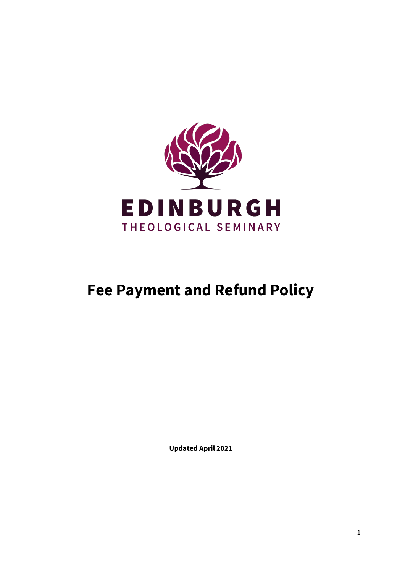

# **Fee Payment and Refund Policy**

**Updated April 2021**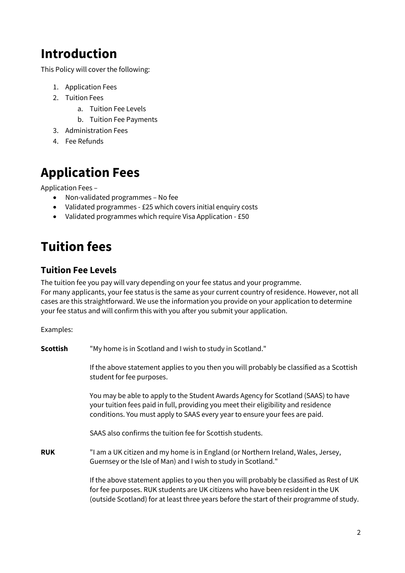## **Introduction**

This Policy will cover the following:

- 1. Application Fees
- 2. Tuition Fees
	- a. Tuition Fee Levels
	- b. Tuition Fee Payments
- 3. Administration Fees
- 4. Fee Refunds

# **Application Fees**

Application Fees –

- Non-validated programmes No fee
- Validated programmes £25 which covers initial enquiry costs
- Validated programmes which require Visa Application £50

# **Tuition fees**

### **Tuition Fee Levels**

The tuition fee you pay will vary depending on your fee status and your programme.

For many applicants, your fee status is the same as your current country of residence. However, not all cases are this straightforward. We use the information you provide on your application to determine your fee status and will confirm this with you after you submit your application.

Examples:

| <b>Scottish</b> | "My home is in Scotland and I wish to study in Scotland."                                                                                                                                                                                                                |  |
|-----------------|--------------------------------------------------------------------------------------------------------------------------------------------------------------------------------------------------------------------------------------------------------------------------|--|
|                 | If the above statement applies to you then you will probably be classified as a Scottish<br>student for fee purposes.                                                                                                                                                    |  |
|                 | You may be able to apply to the Student Awards Agency for Scotland (SAAS) to have<br>your tuition fees paid in full, providing you meet their eligibility and residence<br>conditions. You must apply to SAAS every year to ensure your fees are paid.                   |  |
|                 | SAAS also confirms the tuition fee for Scottish students.                                                                                                                                                                                                                |  |
| <b>RUK</b>      | "I am a UK citizen and my home is in England (or Northern Ireland, Wales, Jersey,<br>Guernsey or the Isle of Man) and I wish to study in Scotland."                                                                                                                      |  |
|                 | If the above statement applies to you then you will probably be classified as Rest of UK<br>for fee purposes. RUK students are UK citizens who have been resident in the UK<br>(outside Scotland) for at least three years before the start of their programme of study. |  |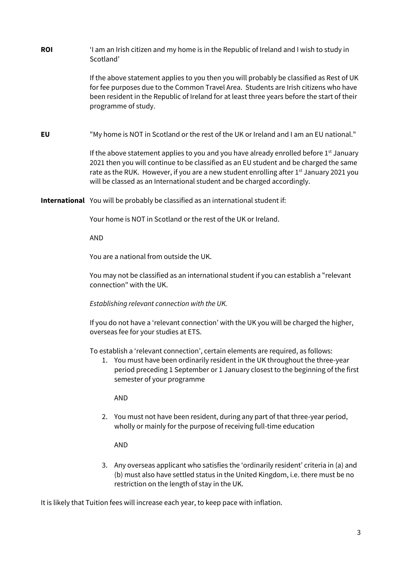**ROI** 'I am an Irish citizen and my home is in the Republic of Ireland and I wish to study in Scotland'

> If the above statement applies to you then you will probably be classified as Rest of UK for fee purposes due to the Common Travel Area. Students are Irish citizens who have been resident in the Republic of Ireland for at least three years before the start of their programme of study.

**EU** "My home is NOT in Scotland or the rest of the UK or Ireland and I am an EU national."

If the above statement applies to you and you have already enrolled before  $1<sup>st</sup>$  January 2021 then you will continue to be classified as an EU student and be charged the same rate as the RUK. However, if you are a new student enrolling after  $1<sup>st</sup>$  January 2021 you will be classed as an International student and be charged accordingly.

**International** You will be probably be classified as an international student if:

Your home is NOT in Scotland or the rest of the UK or Ireland.

AND

You are a national from outside the UK.

You may not be classified as an international student if you can establish a "relevant connection" with the UK.

#### *Establishing relevant connection with the UK.*

If you do not have a 'relevant connection' with the UK you will be charged the higher, overseas fee for your studies at ETS.

To establish a 'relevant connection', certain elements are required, as follows:

1. You must have been ordinarily resident in the UK throughout the three-year period preceding 1 September or 1 January closest to the beginning of the first semester of your programme

AND

2. You must not have been resident, during any part of that three-year period, wholly or mainly for the purpose of receiving full-time education

AND

3. Any overseas applicant who satisfies the 'ordinarily resident' criteria in (a) and (b) must also have settled status in the United Kingdom, i.e. there must be no restriction on the length of stay in the UK.

It is likely that Tuition fees will increase each year, to keep pace with inflation.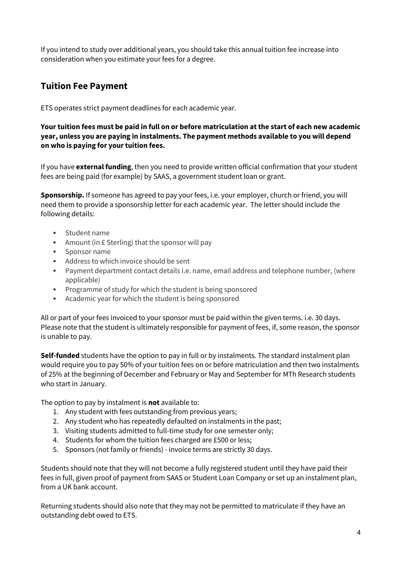If you intend to study over additional years, you should take this annual tuition fee increase into consideration when you estimate your fees for a degree.

### **Tuition Fee Payment**

ETS operates strict payment deadlines for each academic year.

**Your tuition fees must be paid in full on or before matriculation at the start of each new academic year, unless you are paying in instalments. The payment methods available to you will depend on who is paying for your tuition fees.**

If you have **external funding**, then you need to provide written official confirmation that your student fees are being paid (for example) by SAAS, a government student loan or grant.

**Sponsorship.** If someone has agreed to pay your fees, i.e. your employer, church or friend, you will need them to provide a sponsorship letter for each academic year. The letter should include the following details:

- Student name
- Amount (in £ Sterling) that the sponsor will pay
- Sponsor name
- Address to which invoice should be sent
- Payment department contact details i.e. name, email address and telephone number, (where applicable)
- Programme of study for which the student is being sponsored
- Academic year for which the student is being sponsored

All or part of your fees invoiced to your sponsor must be paid within the given terms. i.e. 30 days. Please note that the student is ultimately responsible for payment of fees, if, some reason, the sponsor is unable to pay.

**Self-funded** students have the option to pay in full or by instalments. The standard instalment plan would require you to pay 50% of your tuition fees on or before matriculation and then two instalments of 25% at the beginning of December and February or May and September for MTh Research students who start in January.

The option to pay by instalment is **not** available to:

- 1. Any student with fees outstanding from previous years;
- 2. Any student who has repeatedly defaulted on instalments in the past;
- 3. Visiting students admitted to full-time study for one semester only;
- 4. Students for whom the tuition fees charged are £500 or less;
- 5. Sponsors (not family or friends) invoice terms are strictly 30 days.

Students should note that they will not become a fully registered student until they have paid their fees in full, given proof of payment from SAAS or Student Loan Company or set up an instalment plan, from a UK bank account.

Returning students should also note that they may not be permitted to matriculate if they have an outstanding debt owed to ETS.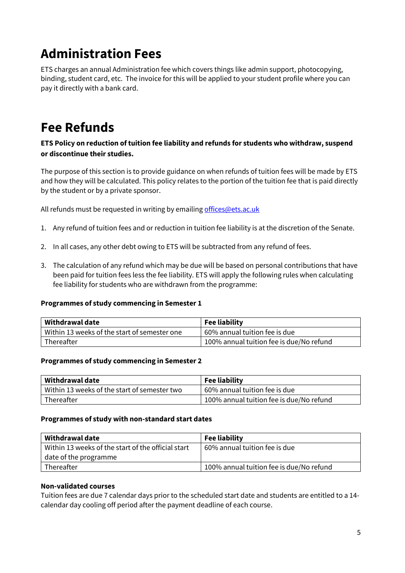# **Administration Fees**

ETS charges an annual Administration fee which covers things like admin support, photocopying, binding, student card, etc. The invoice for this will be applied to your student profile where you can pay it directly with a bank card.

## **Fee Refunds**

### **ETS Policy on reduction of tuition fee liability and refunds for students who withdraw, suspend or discontinue their studies.**

The purpose of this section is to provide guidance on when refunds of tuition fees will be made by ETS and how they will be calculated. This policy relates to the portion of the tuition fee that is paid directly by the student or by a private sponsor.

All refunds must be requested in writing by emailin[g offices@ets.ac.uk](mailto:offices@ets.ac.uk)

- 1. Any refund of tuition fees and or reduction in tuition fee liability is at the discretion of the Senate.
- 2. In all cases, any other debt owing to ETS will be subtracted from any refund of fees.
- 3. The calculation of any refund which may be due will be based on personal contributions that have been paid for tuition fees less the fee liability. ETS will apply the following rules when calculating fee liability for students who are withdrawn from the programme:

### **Programmes of study commencing in Semester 1**

| Withdrawal date                              | <b>Fee liability</b>                     |
|----------------------------------------------|------------------------------------------|
| Within 13 weeks of the start of semester one | 60% annual tuition fee is due            |
| Thereafter                                   | 100% annual tuition fee is due/No refund |

### **Programmes of study commencing in Semester 2**

| Withdrawal date                              | <b>Fee liability</b>                     |
|----------------------------------------------|------------------------------------------|
| Within 13 weeks of the start of semester two | 60% annual tuition fee is due            |
| Thereafter                                   | 100% annual tuition fee is due/No refund |

### **Programmes of study with non-standard start dates**

| Withdrawal date                                    | <b>Fee liability</b>                     |
|----------------------------------------------------|------------------------------------------|
| Within 13 weeks of the start of the official start | 60% annual tuition fee is due            |
| date of the programme                              |                                          |
| Thereafter                                         | 100% annual tuition fee is due/No refund |

### **Non-validated courses**

Tuition fees are due 7 calendar days prior to the scheduled start date and students are entitled to a 14 calendar day cooling off period after the payment deadline of each course.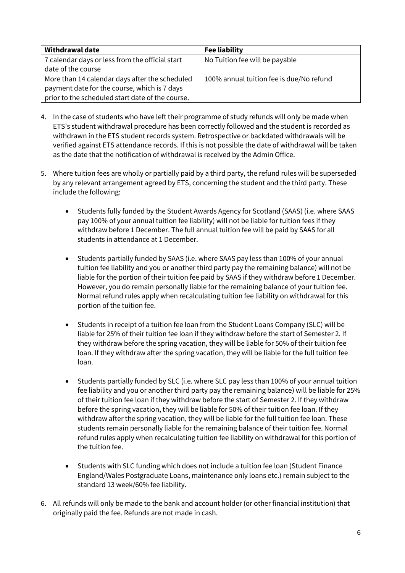| <b>Withdrawal date</b>                           | <b>Fee liability</b>                     |
|--------------------------------------------------|------------------------------------------|
| 7 calendar days or less from the official start  | No Tuition fee will be payable           |
| date of the course                               |                                          |
| More than 14 calendar days after the scheduled   | 100% annual tuition fee is due/No refund |
| payment date for the course, which is 7 days     |                                          |
| prior to the scheduled start date of the course. |                                          |

- 4. In the case of students who have left their programme of study refunds will only be made when ETS's student withdrawal procedure has been correctly followed and the student is recorded as withdrawn in the ETS student records system. Retrospective or backdated withdrawals will be verified against ETS attendance records. If this is not possible the date of withdrawal will be taken as the date that the notification of withdrawal is received by the Admin Office.
- 5. Where tuition fees are wholly or partially paid by a third party, the refund rules will be superseded by any relevant arrangement agreed by ETS, concerning the student and the third party. These include the following:
	- Students fully funded by the Student Awards Agency for Scotland (SAAS) (i.e. where SAAS pay 100% of your annual tuition fee liability) will not be liable for tuition fees if they withdraw before 1 December. The full annual tuition fee will be paid by SAAS for all students in attendance at 1 December.
	- Students partially funded by SAAS (i.e. where SAAS pay less than 100% of your annual tuition fee liability and you or another third party pay the remaining balance) will not be liable for the portion of their tuition fee paid by SAAS if they withdraw before 1 December. However, you do remain personally liable for the remaining balance of your tuition fee. Normal refund rules apply when recalculating tuition fee liability on withdrawal for this portion of the tuition fee.
	- Students in receipt of a tuition fee loan from the Student Loans Company (SLC) will be liable for 25% of their tuition fee loan if they withdraw before the start of Semester 2. If they withdraw before the spring vacation, they will be liable for 50% of their tuition fee loan. If they withdraw after the spring vacation, they will be liable for the full tuition fee loan.
	- Students partially funded by SLC (i.e. where SLC pay less than 100% of your annual tuition fee liability and you or another third party pay the remaining balance) will be liable for 25% of their tuition fee loan if they withdraw before the start of Semester 2. If they withdraw before the spring vacation, they will be liable for 50% of their tuition fee loan. If they withdraw after the spring vacation, they will be liable for the full tuition fee loan. These students remain personally liable for the remaining balance of their tuition fee. Normal refund rules apply when recalculating tuition fee liability on withdrawal for this portion of the tuition fee.
	- Students with SLC funding which does not include a tuition fee loan (Student Finance England/Wales Postgraduate Loans, maintenance only loans etc.) remain subject to the standard 13 week/60% fee liability.
- 6. All refunds will only be made to the bank and account holder (or other financial institution) that originally paid the fee. Refunds are not made in cash.